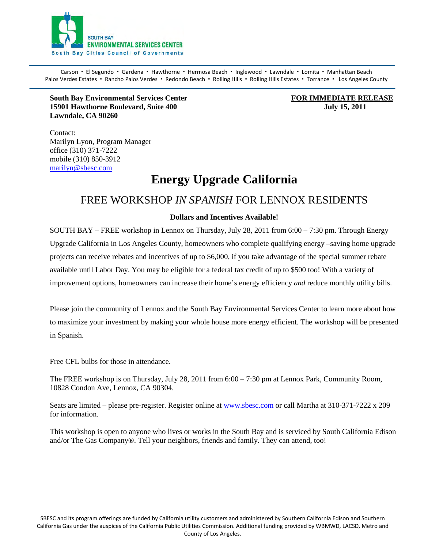

Carson · El Segundo · Gardena · Hawthorne · Hermosa Beach · Inglewood · Lawndale · Lomita · Manhattan Beach Palos Verdes Estates · Rancho Palos Verdes · Redondo Beach · Rolling Hills · Rolling Hills Estates · Torrance · Los Angeles County

**South Bay Environmental Services Center FOR IMMEDIATE RELEASE 15901 Hawthorne Boulevard, Suite 400 July 15, 2011 Lawndale, CA 90260** 

Contact: Marilyn Lyon, Program Manager office (310) 371-7222 mobile (310) 850-3912 [marilyn@sbesc.com](mailto:marilyn@sbesc.com)

## **Energy Upgrade California**

### FREE WORKSHOP *IN SPANISH* FOR LENNOX RESIDENTS

### **Dollars and Incentives Available!**

SOUTH BAY – FREE workshop in Lennox on Thursday, July 28, 2011 from  $6:00 - 7:30$  pm. Through Energy Upgrade California in Los Angeles County, homeowners who complete qualifying energy –saving home upgrade projects can receive rebates and incentives of up to \$6,000, if you take advantage of the special summer rebate available until Labor Day. You may be eligible for a federal tax credit of up to \$500 too! With a variety of improvement options, homeowners can increase their home's energy efficiency *and* reduce monthly utility bills.

Please join the community of Lennox and the South Bay Environmental Services Center to learn more about how to maximize your investment by making your whole house more energy efficient. The workshop will be presented in Spanish.

Free CFL bulbs for those in attendance.

The FREE workshop is on Thursday, July 28, 2011 from 6:00 – 7:30 pm at Lennox Park, Community Room, 10828 Condon Ave, Lennox, CA 90304.

Seats are limited – please pre-register. Register online at [www.sbesc.com](http://www.sbesc.com/) or call Martha at 310-371-7222 x 209 for information.

This workshop is open to anyone who lives or works in the South Bay and is serviced by South California Edison and/or The Gas Company®. Tell your neighbors, friends and family. They can attend, too!